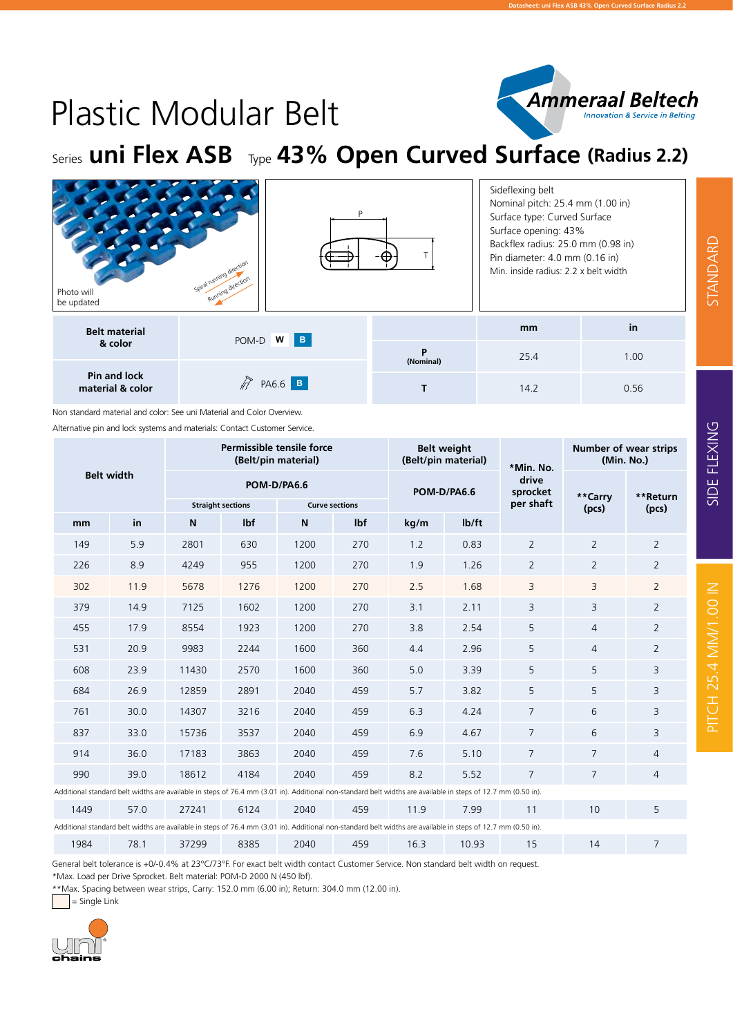

PITCH 25.4 MM/1.00 IN STANDARD SIDE FLEXING

PITCH 25.4 MM/1.00 IN

SIDE FLEXING

STANDARD

## Plastic Modular Belt

Series **uni Flex ASB** Type **43% Open Curved Surface (Radius 2.2)**

| Photo will<br>be updated         | D<br>Spiral running direction<br>Running direction |                | Sideflexing belt<br>Nominal pitch: 25.4 mm (1.00 in)<br>Surface type: Curved Surface<br>Surface opening: 43%<br>Backflex radius: 25.0 mm (0.98 in)<br>Pin diameter: 4.0 mm (0.16 in)<br>Min. inside radius: 2.2 x belt width |      |  |  |  |  |
|----------------------------------|----------------------------------------------------|----------------|------------------------------------------------------------------------------------------------------------------------------------------------------------------------------------------------------------------------------|------|--|--|--|--|
| <b>Belt material</b><br>& color  |                                                    |                | mm                                                                                                                                                                                                                           | in   |  |  |  |  |
|                                  | POM-D W B                                          | P<br>(Nominal) | 25.4                                                                                                                                                                                                                         | 1.00 |  |  |  |  |
| Pin and lock<br>material & color | P<br>PA6.6 B                                       |                | 14.2                                                                                                                                                                                                                         | 0.56 |  |  |  |  |

Non standard material and color: See uni Material and Color Overview.

Alternative pin and lock systems and materials: Contact Customer Service.

|                                                                                                                                                               |                                                                                                                                                               |                          | Permissible tensile force<br>(Belt/pin material) |      |                       | (Belt/pin material) | <b>Belt weight</b> | *Min. No.         | <b>Number of wear strips</b><br>(Min. No.) |                |  |  |  |
|---------------------------------------------------------------------------------------------------------------------------------------------------------------|---------------------------------------------------------------------------------------------------------------------------------------------------------------|--------------------------|--------------------------------------------------|------|-----------------------|---------------------|--------------------|-------------------|--------------------------------------------|----------------|--|--|--|
| <b>Belt width</b>                                                                                                                                             |                                                                                                                                                               |                          | POM-D/PA6.6                                      |      |                       |                     | POM-D/PA6.6        | drive<br>sprocket | **Carry                                    | **Return       |  |  |  |
|                                                                                                                                                               |                                                                                                                                                               | <b>Straight sections</b> |                                                  |      | <b>Curve sections</b> |                     |                    | per shaft         | (pcs)                                      | (pcs)          |  |  |  |
| mm                                                                                                                                                            | in                                                                                                                                                            | N                        | lbf                                              | N    | lbf                   | kg/m                | lb/ft              |                   |                                            |                |  |  |  |
| 149                                                                                                                                                           | 5.9                                                                                                                                                           | 2801                     | 630                                              | 1200 | 270                   | 1.2                 | 0.83               | $\overline{2}$    | $\overline{2}$                             | $\overline{2}$ |  |  |  |
| 226                                                                                                                                                           | 8.9                                                                                                                                                           | 4249                     | 955                                              | 1200 | 270                   | 1.9                 | 1.26               | $\overline{2}$    | $\overline{2}$                             | $\overline{2}$ |  |  |  |
| 302                                                                                                                                                           | 11.9                                                                                                                                                          | 5678                     | 1276                                             | 1200 | 270                   | 2.5                 | 1.68               | $\overline{3}$    | 3                                          | $\overline{2}$ |  |  |  |
| 379                                                                                                                                                           | 14.9                                                                                                                                                          | 7125                     | 1602                                             | 1200 | 270                   | 3.1                 | 2.11               | 3                 | 3                                          | $\overline{2}$ |  |  |  |
| 455                                                                                                                                                           | 17.9                                                                                                                                                          | 8554                     | 1923                                             | 1200 | 270                   | 3.8                 | 2.54               | 5                 | $\overline{4}$                             | $\overline{2}$ |  |  |  |
| 531                                                                                                                                                           | 20.9                                                                                                                                                          | 9983                     | 2244                                             | 1600 | 360                   | 4.4                 | 2.96               | 5                 | $\overline{4}$                             | $\overline{2}$ |  |  |  |
| 608                                                                                                                                                           | 23.9                                                                                                                                                          | 11430                    | 2570                                             | 1600 | 360                   | 5.0                 | 3.39               | 5                 | 5                                          | 3              |  |  |  |
| 684                                                                                                                                                           | 26.9                                                                                                                                                          | 12859                    | 2891                                             | 2040 | 459                   | 5.7                 | 3.82               | 5                 | 5                                          | 3              |  |  |  |
| 761                                                                                                                                                           | 30.0                                                                                                                                                          | 14307                    | 3216                                             | 2040 | 459                   | 6.3                 | 4.24               | $\overline{7}$    | 6                                          | 3              |  |  |  |
| 837                                                                                                                                                           | 33.0                                                                                                                                                          | 15736                    | 3537                                             | 2040 | 459                   | 6.9                 | 4.67               | $\overline{7}$    | 6                                          | 3              |  |  |  |
| 914                                                                                                                                                           | 36.0                                                                                                                                                          | 17183                    | 3863                                             | 2040 | 459                   | 7.6                 | 5.10               | $\overline{7}$    | $\overline{7}$                             | $\overline{4}$ |  |  |  |
| 990                                                                                                                                                           | 39.0                                                                                                                                                          | 18612                    | 4184                                             | 2040 | 459                   | 8.2                 | 5.52               | $\overline{7}$    | $\overline{7}$                             | 4              |  |  |  |
| Additional standard belt widths are available in steps of 76.4 mm (3.01 in). Additional non-standard belt widths are available in steps of 12.7 mm (0.50 in). |                                                                                                                                                               |                          |                                                  |      |                       |                     |                    |                   |                                            |                |  |  |  |
| 1449                                                                                                                                                          | 57.0                                                                                                                                                          | 27241                    | 6124                                             | 2040 | 459                   | 11.9                | 7.99               | 11                | 10                                         | 5              |  |  |  |
|                                                                                                                                                               | Additional standard belt widths are available in steps of 76.4 mm (3.01 in). Additional non-standard belt widths are available in steps of 12.7 mm (0.50 in). |                          |                                                  |      |                       |                     |                    |                   |                                            |                |  |  |  |
| 1984                                                                                                                                                          | 78.1                                                                                                                                                          | 37299                    | 8385                                             | 2040 | 459                   | 16.3                | 10.93              | 15                | 14                                         | $\overline{7}$ |  |  |  |

General belt tolerance is +0/-0.4% at 23°C/73°F. For exact belt width contact Customer Service. Non standard belt width on request. \*Max. Load per Drive Sprocket. Belt material: POM-D 2000 N (450 lbf).

\*\*Max. Spacing between wear strips, Carry: 152.0 mm (6.00 in); Return: 304.0 mm (12.00 in).

<sup>=</sup> Single Link

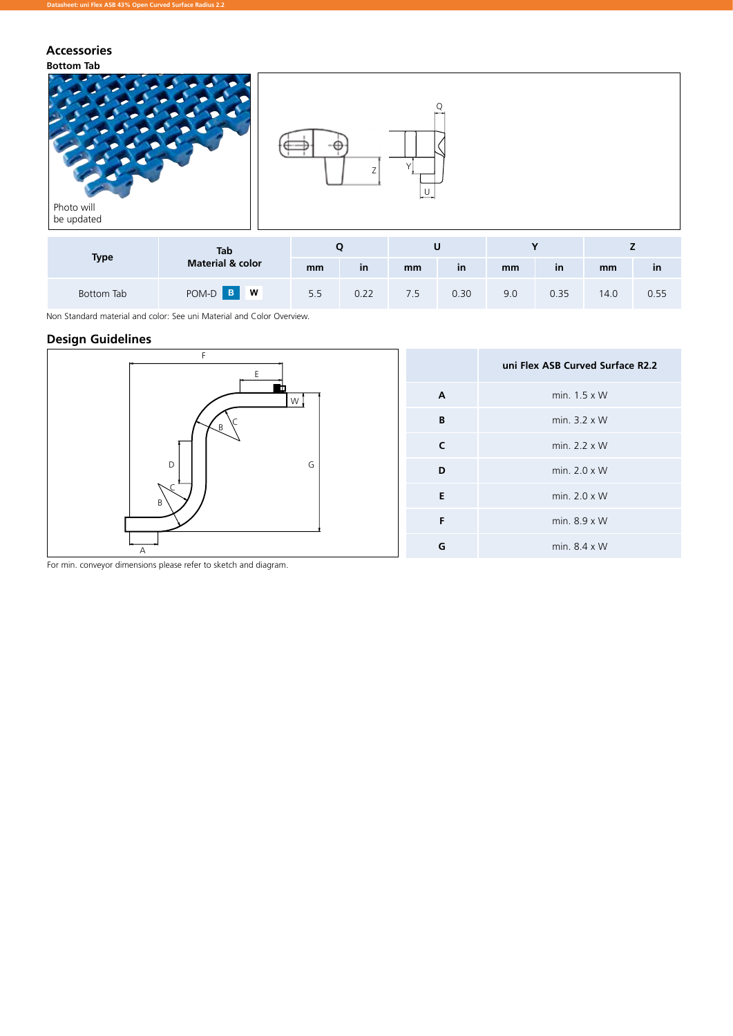## **Accessories**



Bottom Tab POM-D **<sup>B</sup> <sup>W</sup>** 5.5 0.22 7.5 0.30 9.0 0.35 14.0 0.55

Non Standard material and color: See uni Material and Color Overview.

## **Design Guidelines**



For min. conveyor dimensions please refer to sketch and diagram.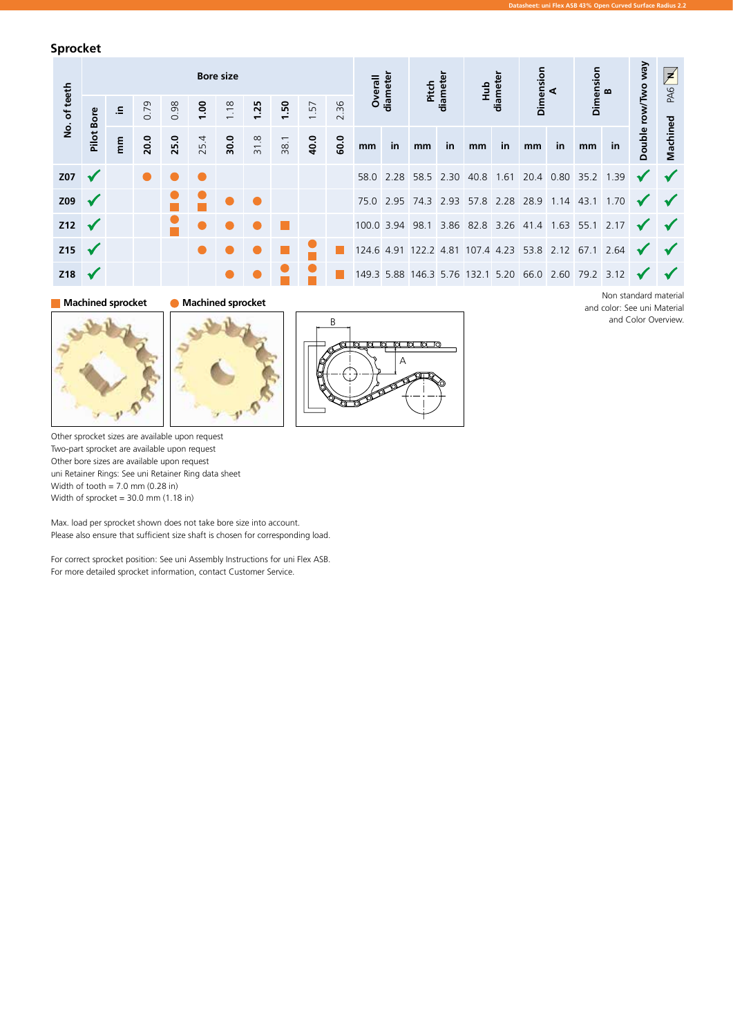**Sprocket**

| <b>Bore size</b><br>No. of teeth |                                          |      |      |      |      |      |      |      |      |    | ⋖       |         |    |                   |    | PAG N           |    |           |    |           |                                                                                                                                                                                                                                                                                                                                              |
|----------------------------------|------------------------------------------|------|------|------|------|------|------|------|------|----|---------|---------|----|-------------------|----|-----------------|----|-----------|----|-----------|----------------------------------------------------------------------------------------------------------------------------------------------------------------------------------------------------------------------------------------------------------------------------------------------------------------------------------------------|
|                                  | $\Xi$ .                                  | 0.79 | 0.98 | 00.1 | 1.18 | 1.25 | 1.50 | 1.57 | 2.36 |    |         |         |    |                   |    |                 |    |           |    |           |                                                                                                                                                                                                                                                                                                                                              |
| Pilot                            | E                                        | 20.0 | 25.0 | 25.4 | 30.0 | 31.8 | 38.1 | 40.0 | 60.0 | mm | in      | mm      | in | mm                | in | mm              | in | mm        | in | Double    | Machined                                                                                                                                                                                                                                                                                                                                     |
|                                  |                                          |      |      |      |      |      |      |      |      |    |         |         |    |                   |    |                 |    |           |    |           |                                                                                                                                                                                                                                                                                                                                              |
|                                  |                                          |      |      |      |      |      |      |      |      |    |         |         |    |                   |    |                 |    |           |    |           |                                                                                                                                                                                                                                                                                                                                              |
|                                  |                                          |      |      |      |      |      |      |      |      |    |         |         |    |                   |    |                 |    |           |    |           |                                                                                                                                                                                                                                                                                                                                              |
|                                  |                                          |      |      |      |      |      |      |      |      |    |         |         |    |                   |    |                 |    |           |    |           |                                                                                                                                                                                                                                                                                                                                              |
|                                  |                                          |      |      |      |      |      |      |      |      |    |         |         |    |                   |    |                 |    |           |    |           |                                                                                                                                                                                                                                                                                                                                              |
| Z18                              | Bore<br>$212 \sqrt{ }$<br>$215 \sqrt{ }$ |      |      |      |      |      |      |      |      |    | Overall | diamete |    | diameter<br>Pitch |    | Hub<br>diameter |    | Dimension |    | Dimension | row/Two way<br>58.0 2.28 58.5 2.30 40.8 1.61 20.4 0.80 35.2 1.39<br>75.0 2.95 74.3 2.93 57.8 2.28 28.9 1.14 43.1 1.70 $\sqrt{}$<br>100.0 3.94 98.1 3.86 82.8 3.26 41.4 1.63 55.1 2.17 $\checkmark$<br>124.6 4.91 122.2 4.81 107.4 4.23 53.8 2.12 67.1 2.64 $\checkmark$<br>149.3 5.88 146.3 5.76 132.1 5.20 66.0 2.60 79.2 3.12 $\checkmark$ |



**Machined sprocket Machined sprocket**







Other sprocket sizes are available upon request Two-part sprocket are available upon request Other bore sizes are available upon request uni Retainer Rings: See uni Retainer Ring data sheet Width of tooth = 7.0 mm (0.28 in) Width of sprocket = 30.0 mm (1.18 in)

Max. load per sprocket shown does not take bore size into account. Please also ensure that sufficient size shaft is chosen for corresponding load.

For correct sprocket position: See uni Assembly Instructions for uni Flex ASB. For more detailed sprocket information, contact Customer Service.

Non standard material and color: See uni Material and Color Overview.

**Datasheet: uni Flex ASB 43% Open Curved Surface Radius 2.2**